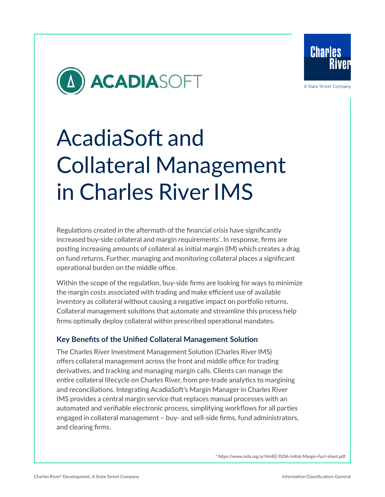

A State Street Company



# AcadiaSoft and Collateral Management in Charles River IMS

Regulations created in the aftermath of the financial crisis have significantly increased buy-side collateral and margin requirements\* . In response, firms are posting increasing amounts of collateral as initial margin (IM) which creates a drag on fund returns. Further, managing and monitoring collateral places a significant operational burden on the middle office.

Within the scope of the regulation, buy-side firms are looking for ways to minimize the margin costs associated with trading and make efficient use of available inventory as collateral without causing a negative impact on portfolio returns. Collateral management solutions that automate and streamline this process help firms optimally deploy collateral within prescribed operational mandates.

#### **Key Benefits of the Unified Collateral Management Solution**

The Charles River Investment Management Solution (Charles River IMS) offers collateral management across the front and middle office for trading derivatives, and tracking and managing margin calls. Clients can manage the entire collateral lifecycle on Charles River, from pre-trade analytics to margining and reconciliations. Integrating AcadiaSoft's Margin Manager in Charles River IMS provides a central margin service that replaces manual processes with an automated and verifiable electronic process, simplifying workflows for all parties engaged in collateral management – buy- and sell-side firms, fund administrators, and clearing firms.

[\\* https://www.isda.org/a/iVmEE/ISDA-Initial-Margin-Fact-sheet.pdf](https://www.isda.org/a/iVmEE/ISDA-Initial-Margin-Fact-sheet.pdf)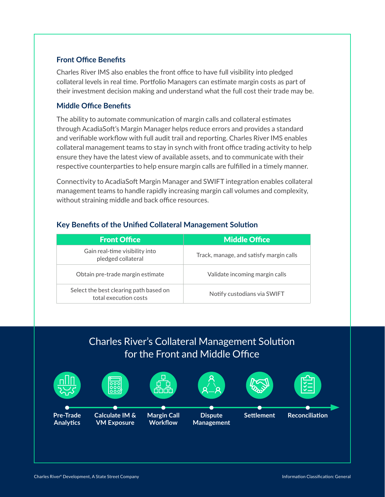#### **Front Office Benefits**

Charles River IMS also enables the front office to have full visibility into pledged collateral levels in real time. Portfolio Managers can estimate margin costs as part of their investment decision making and understand what the full cost their trade may be.

#### **Middle Office Benefits**

The ability to automate communication of margin calls and collateral estimates through AcadiaSoft's Margin Manager helps reduce errors and provides a standard and verifiable workflow with full audit trail and reporting. Charles River IMS enables collateral management teams to stay in synch with front office trading activity to help ensure they have the latest view of available assets, and to communicate with their respective counterparties to help ensure margin calls are fulfilled in a timely manner.

Connectivity to AcadiaSoft Margin Manager and SWIFT integration enables collateral management teams to handle rapidly increasing margin call volumes and complexity, without straining middle and back office resources.

| <b>Front Office</b>                                             | <b>Middle Office</b>                    |
|-----------------------------------------------------------------|-----------------------------------------|
| Gain real-time visibility into<br>pledged collateral            | Track, manage, and satisfy margin calls |
| Obtain pre-trade margin estimate                                | Validate incoming margin calls          |
| Select the best clearing path based on<br>total execution costs | Notify custodians via SWIFT             |

#### **Key Benefits of the Unified Collateral Management Solution**

### Charles River's Collateral Management Solution for the Front and Middle Office